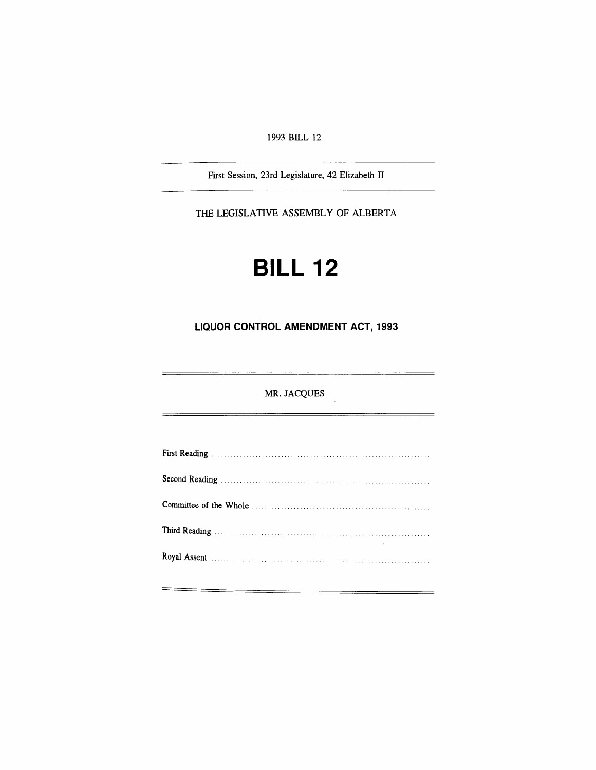1993 BILL 12

First Session, 23rd Legislature, 42 Elizabeth IT

THE LEGISLATIVE ASSEMBLY OF ALBERTA

# **BILL 12**

## **LIQUOR CONTROL AMENDMENT ACT, 1993**

MR. JACQUES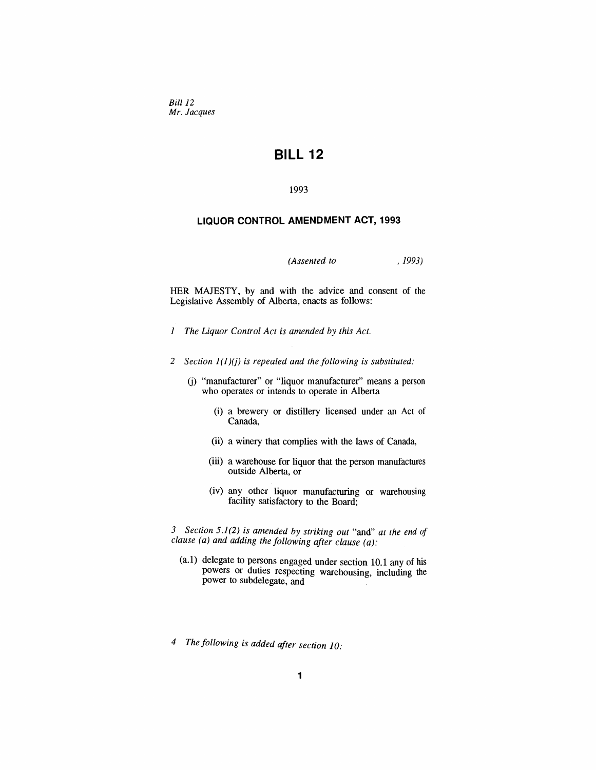*Bill 12 Mr. Jacques*

# **BILL 12**

#### 1993

### **LIQUOR CONTROL AMENDMENT ACT, 1993**

*(Assented to* , 1993)

HER MAJESTY. by and with the advice and consent of the Legislative Assembly of Alberta, enacts as follows:

- *1 The Liquor Control Act is amended by this Act.*
- *2 Section* 1(1 )(j) *is repealed and the following is substituted:*
	- (j) "manufacturer" or "liquor manufacturer" means a person who operates or intends to operate in Alberta
		- (i) a brewery or distillery licensed under an Act of Canada,
		- (ii) a winery that complies with the laws of Canada,
		- (iii) a warehouse for liquor that the person manufactures outside Alberta, or
		- (iv) any other liquor manufacturing or warehousing facility satisfactory to the Board;

*3 Section* 5.1(2) *is amended by striking out* "and" *at the end of clause (a) and adding the following after clause (a):*

- (a.1) delegate to persons engaged under section 10.1 any of his powers or duties respecting warehousing, including the power to subdelegate, and
- *4 The following is added after section 10:*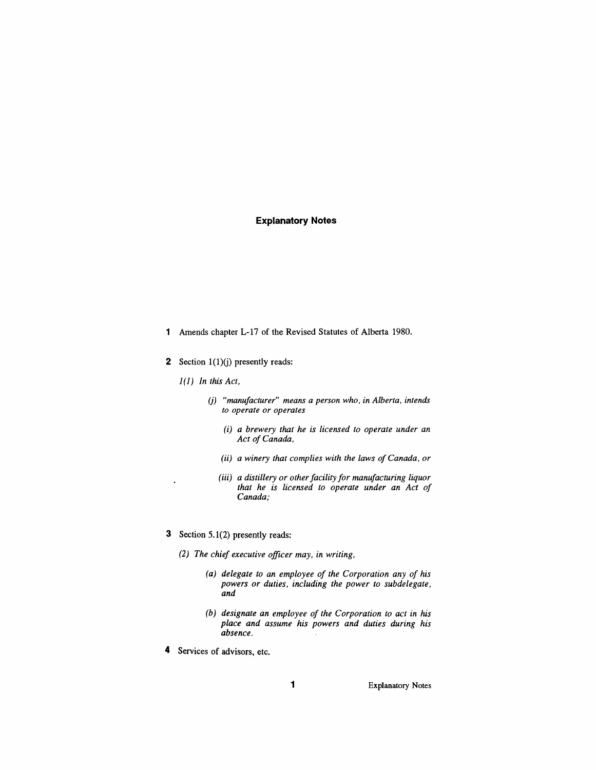#### **Explanatory Notes**

- 1 Amends chapter L-17 of the Revised Statutes of Alberta 1980.
- **2** Section  $1(1)(i)$  presently reads:
	- *I*(l) *In this Act,*
		- *(j) "manufacturer" means a person who, in Alberta, intends to operate or operates*
			- *(i) a brewery that he is licensed to operate under an* Act of Canada,
			- *(ii) a winery that complies with the laws ofCanada, or*
			- *(iii) a distillery or otherfacility for manufacturing liquor that he is licensed to operate under an Act of Canada;*
- 3 Section 5.1(2) presently reads:
	- *(2) The chief executive officer may, in writing,*
		- *(a) delegate to an employee of the Corporation any of his powers or duties, including the power to subdelegate, and*
		- *(b) designate an employee of the Corporation to act in his place and assume his powers and duties during his absence.*
- 4 Services of advisors, etc.

1 Explanatory Notes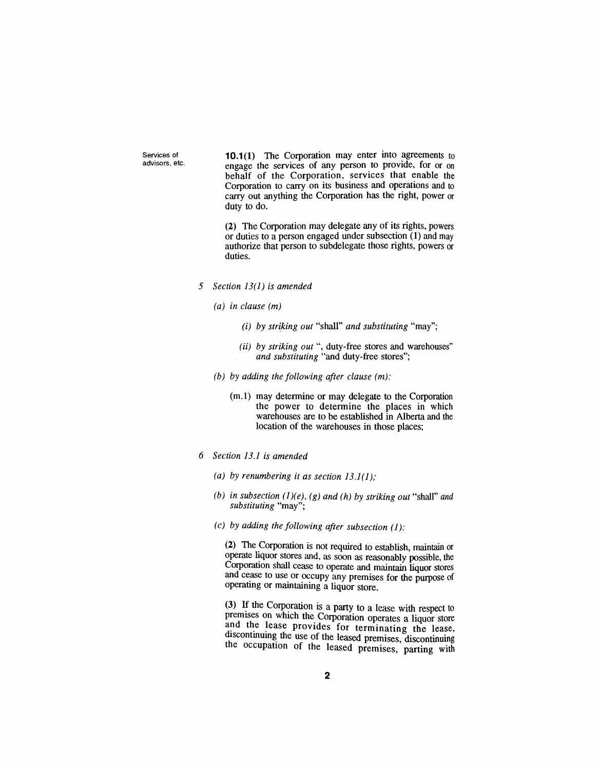Services of advisors. etc. 10.1 $(1)$  The Corporation may enter into agreements to engage the services of any person to provide, for or on behalf of the Corporation, services that enable the Corporation to carry· on its business and operations and to carry out anything the Corporation has the right, power or duty to do.

(2) The Corporation may delegate any of its rights, powers or duties to a person engaged under subsection (1) and may authorize that person to subdelegate those rights, powers or duties.

- *5 Section* 13(1) *is amended*
	- *(a) in clause (m)*
		- (i) *by striking out* "shall" *and substituting* "may":
		- (ii) *by striking out* ", duty-free stores and warehouses" *and substituting* "and duty-free stores";
	- *(b) by adding the following after clause (m):*
		- (m.l) may determine or may delegate to the Corporation the power to determine the places in which warehouses are to be established in Alberta and the location of the warehouses in those places;
- *6 Section* 13.1 *is amended*
	- *(a) by renumbering it as section* 13.1(1);
	- *(b) in subsection (1)(e), (g) and (h) by striking out* "shall" and *substituting* "may";
	- *(c) by adding the following after subsection* (1):

(2) The Corporation is not required to establish, maintain or operate liquor stores and, as soon as reasonably possible, the Corporation shall cease to operate and maintain liquor stores and cease to use or occupy any premises for the purpose of operating or maintaining a liquor store.

(3) If the Corporation is a party to a lease with respect to premises on which the Corporation operates a liquor store and the lease provides for terminating the lease, discontinuing the use of the leased premises, discontinuing the occupation of the leased premises, parting with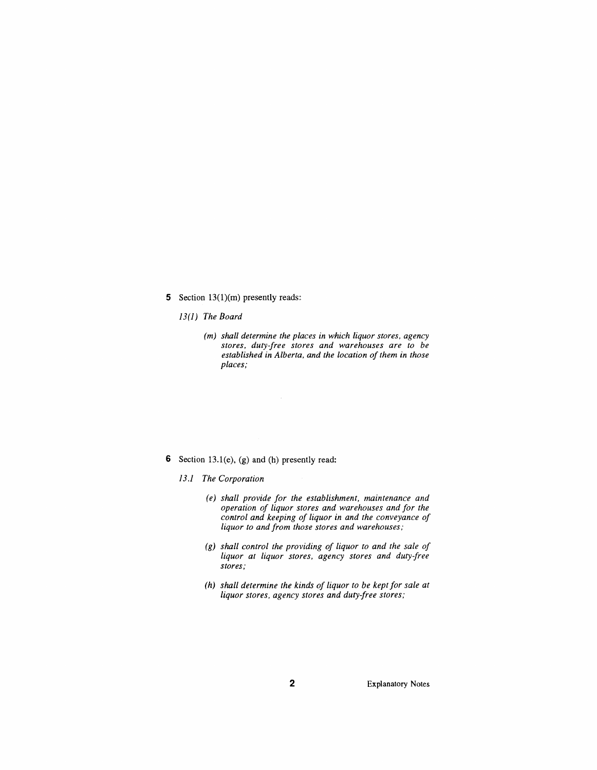5 Section  $13(1)(m)$  presently reads:

*13(1) The Board*

*(m) shall determine the places in which liquor stores, agency stores, duty-free stores and warehouses are to be established in Alberta, and the location of them in those places;*

6 Section 13.1(e), (g) and (h) presently read:

*J*3.1 *The Corporation*

- *(e) shall provide for the establishment, maintenance and operation of liquor stores and warehouses and for the control and keeping of liquor in and the conveyance of liquor to and from those stores and warehouses,.*
- *(g) shall control the providing of liquor to and the sale of liquor at liquor stores, agency stores and duty-free stores;*
- *(h) shall determine the kinds of liquor to be kept for sale at liquor stores, agency stores and duty-free stores;*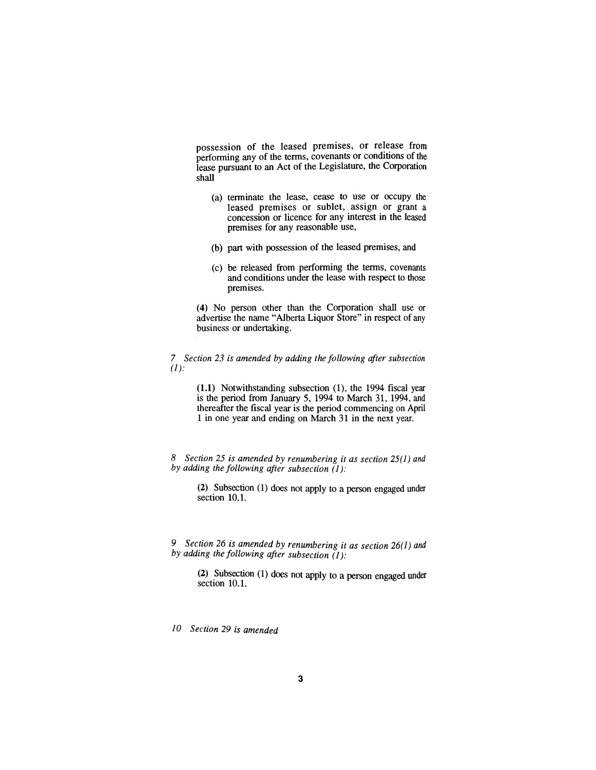possession of the leased premises, or release from performing any of the terms, covenants or conditions of the lease pursuant to an Act of the Legislature, the Corporation shall

- (a) terminate the lease, cease to use or occupy the leased premises or sublet, assign or grant a concession or licence for any interest in the leased premises for any reasonable use,
- (b) part with possession of the leased premises, and
- (c) be released from performing the terms, covenants and conditions under the lease with respect to those premises.

(4) No person other than the Corporation shall use or advertise the name "Alberta Liquor Store" in respect of any business or undertaking.

*7 Section* 23 *is amended by adding the following after subsection*  $(I)$ :

> (1.1) Notwithstanding subsection (1), the 1994 fiscal year is the period from January 5, 1994 to March 31, 1994, and thereafter the fiscal year is the period commencing on April 1 in one year and ending on March 31 in the next year.

*8 Section* 25 *is amended by renumbering it as section* 25(1) *and by adding the following after subsection* (1):

> (2) Subsection (1) does not apply to a person engaged under section 10.1.

*9 Section* 26 *is amended by renumbering it as section* 26(1) *and by adding the following after subsection* (1):

(2) .Subsection (1) does not apply to a person engaged under section 10.1.

*10 Section* 29 *is amended*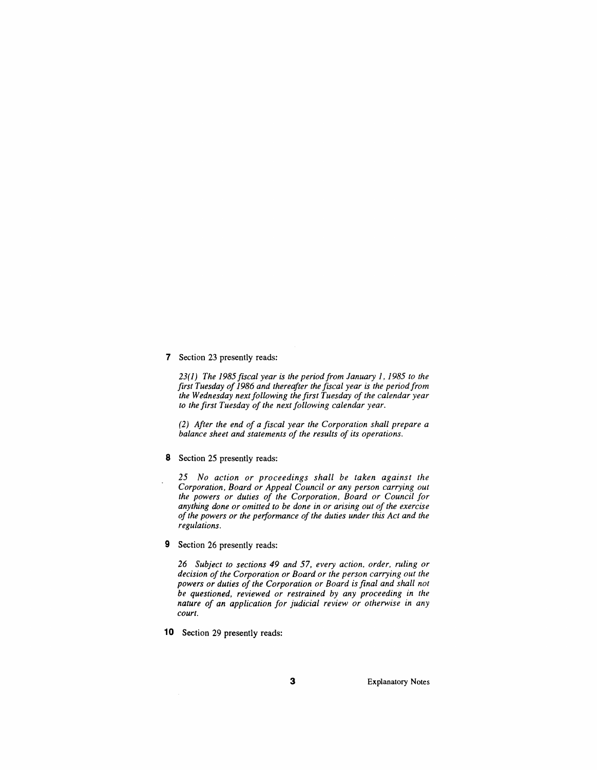7 Section 23 presently reads:

*23(1) The* 1985 *fiscal year is the period from January* 1,1985 *to the first Tuesday of*1986 *and thereafter the fiscal year is the penod from the Wednesday nextfollowing the first Tuesday of the calendar year to the first Tuesday of the next following calendar year.*

*(2) After the end of a fiscal year the Corporation shall prepare a balance sheet and statements of the results of its operations.*

8 Section 25 presently reads:

*25 No action or proceedings shall be taken against the Corporation, Board or Appeal Councilor any person carrying out the powers or duties of the Corporation, Board or Council for anything done or omitted to be done in or arising out of the exercise of the powers or the performance of the duties under this Act and the regulations.*

9 Section 26 presently reads:

*26 Subject to sections* 49 *and* 57, *every action, order, ruling or decision ofthe Corporation or Board or the person carrying out the powers or duties of the Corporation or Board is final and shall not be questioned, reviewed or restrained by any proceeding in the nature of an application for judicial review or otherwise in any court.*

10 Section 29 presently reads:

3 Explanatory Notes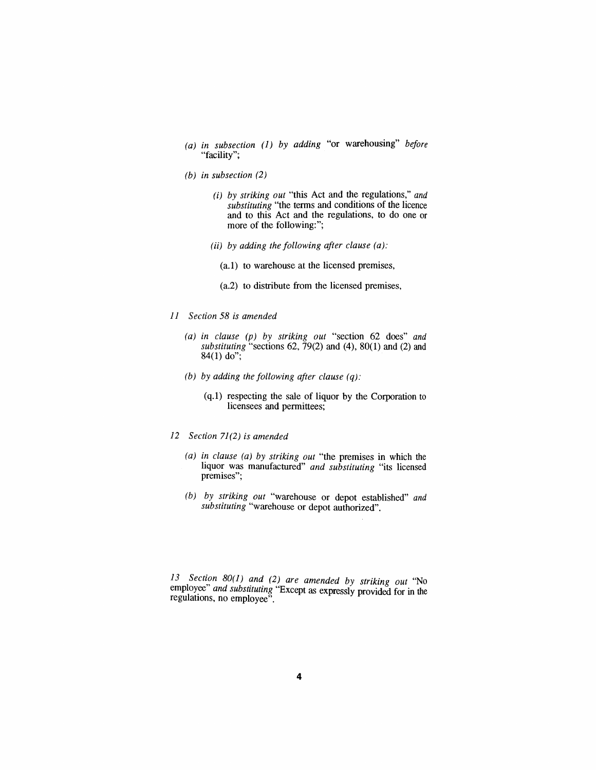- *(a) in subsection* (1) *by adding* "or warehousing" *before* "facility";
- *(b) in subsection (2)*
	- (i) *by striking out* "this Act and the regulations," *and* substituting "the terms and conditions of the licence and to this Act and the regulations, to do one or more of the following:";
	- (ii) *by adding the following after clause (a):*
		- (a.I) to warehouse at the licensed premises,
		- (a.2) to distribute from the licensed premises,
- *11 Section* 58 *is amended*
	- *(a) in clause (p) by striking out* "section 62 does" *and substituting* "sections 62, 79(2) and (4), 80(1) and (2) and  $84(1)$  do";
	- *(b) by adding the following after clause (q):*
		- (q.l) respecting the sale of liquor by the Corporation to licensees and permittees;
- *12 Section* 71 (2) *is amended*
	- *(a) in clause (a) by striking out* "the premises in which the liquor was manufactured" *and substituting* "its licensed premises";
	- *(b) by striking out* "warehouse or depot established" *and substituting* "warehouse or depot authorized".

13 Section 80(1) and (2) are amended by striking out "No employee" and *substituting* "Except as expressly provided for in the regulations, no employee".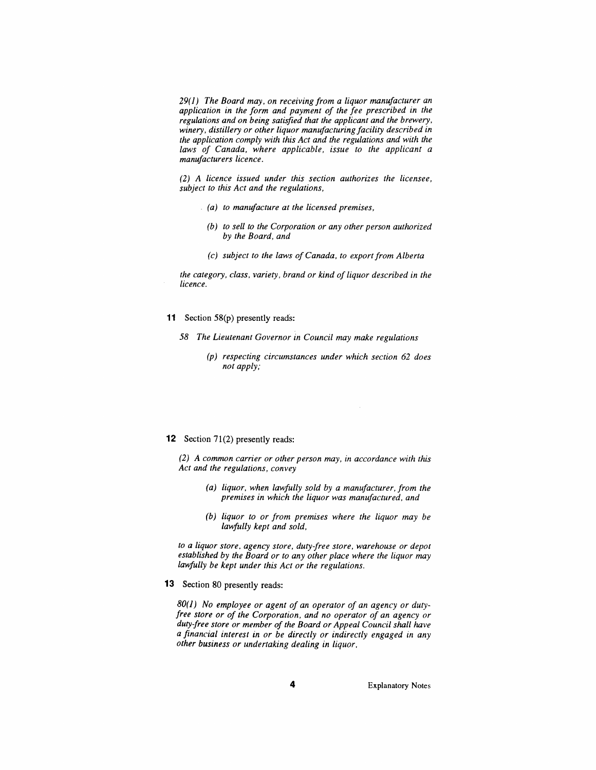29(*1) The Board may, on receiving from a liquor manufacturer an application in the form and payment of the fee prescribed in the regulations and on being satisfied that the applicant and the brewery, winery, distillery or other liquor manufacturing facility described in the application comply with this Act and the regulations and with the laws of Canada, where applicable, issue to the applicant a manufacturers licence.*

*(2) A licence issued under this section authorizes the licensee, subject to this Act and the regulations,*

- *(a) to manufacture at the licensed premises,*
	- *(b) to sell to the Corporation or any other person authorized by the Board, and*
	- *(c) subject to the laws ofCanada, to export from Alberta*

*the category, class, variety, brand or kind of liquor described in the licence.*

- **11** Section 58(p) presently reads:
	- *58 The Lieutenant Governor in Council may make regulations*
		- *(p) respecting circumstances under which section* 62 *does not apply;*

#### **12** Section 71(2) presently reads:

*(2) A common carrier or other person may, in accordance with this Act and the regulations, convey*

- *(a) liquor, when lawfully sold by a manufacturer, from the premises in which the liquor was manufactured, and*
- *(b) liquor to or from premises where the liquor may be la»fully kept and sold,*

*to a liquor store, agency store, duty-free store, warehouse or depot established by the Board or to any other place where the liquor may lawfully be kept under this Act or the regulations.*

**13** Section 80 presently reads:

*80(1) No employee or agent of an operator of an agency or dutyfree store or of the Corporation, and no operator of an agency or duty-free store or member of the Board or Appeal Council shall have a financial interest in or be directly or indirectly engaged in any other business or undertaking dealing in liquor,*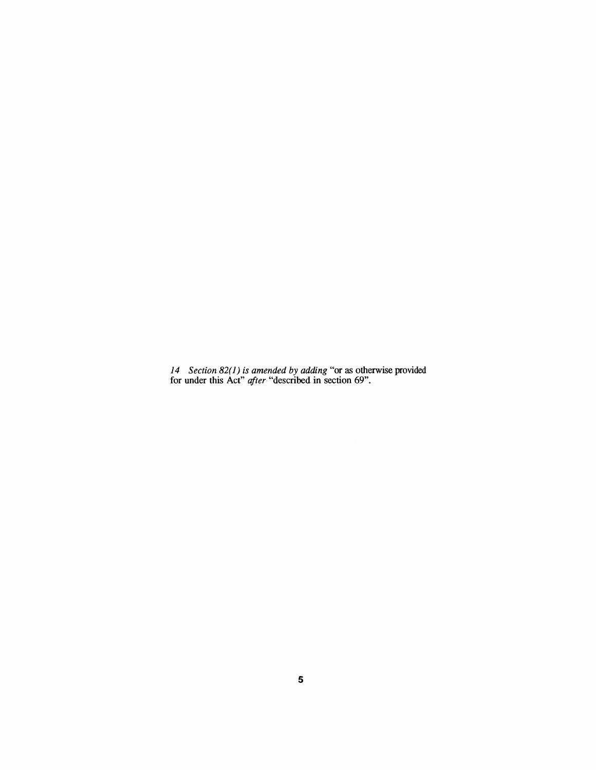*Section* 82(1) *is amended* by *adding* "or as otherwise provided for under this Act" *after* "described in section 69".